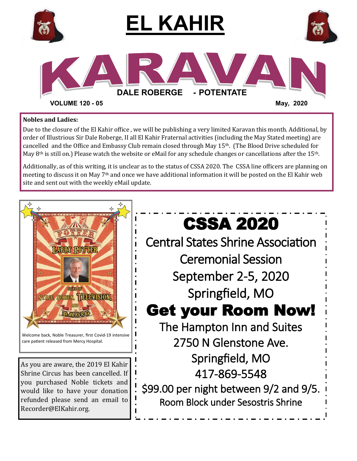

### **Nobles and Ladies:**

Due to the closure of the El Kahir office , we will be publishing a very limited Karavan this month. Additional, by order of Illustrious Sir Dale Roberge, II all El Kahir Fraternal activities (including the May Stated meeting) are cancelled and the Office and Embassy Club remain closed through May  $15<sup>th</sup>$ . (The Blood Drive scheduled for May 8<sup>th</sup> is still on.) Please watch the website or eMail for any schedule changes or cancellations after the 15<sup>th</sup>.

Additionally, as of this writing, it is unclear as to the status of CSSA 2020. The CSSA line officers are planning on meeting to discuss it on May 7th and once we have additional information it will be posted on the El Kahir web site and sent out with the weekly eMail update.

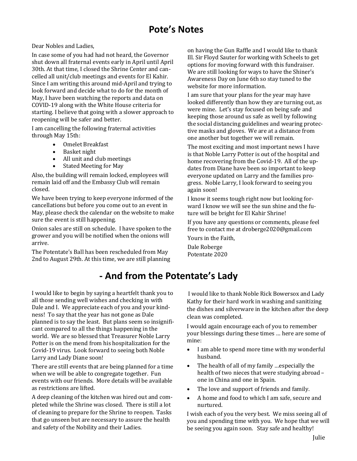Dear Nobles and Ladies,

In case some of you had had not heard, the Governor shut down all fraternal events early in April until April 30th. At that time, I closed the Shrine Center and cancelled all unit/club meetings and events for El Kahir. Since I am writing this around mid-April and trying to look forward and decide what to do for the month of May, I have been watching the reports and data on COVID-19 along with the White House criteria for starting. I believe that going with a slower approach to reopening will be safer and better.

I am cancelling the following fraternal activities through May 15th:

- Omelet Breakfast
- Basket night
- All unit and club meetings
- Stated Meeting for May

Also, the building will remain locked, employees will remain laid off and the Embassy Club will remain closed.

We have been trying to keep everyone informed of the cancellations but before you come out to an event in May, please check the calendar on the website to make sure the event is still happening.

Onion sales are still on schedule. I have spoken to the grower and you will be notified when the onions will arrive.

The Potentate's Ball has been rescheduled from May 2nd to August 29th. At this time, we are still planning

**- And from the Potentate's Lady**

I would like to begin by saying a heartfelt thank you to all those sending well wishes and checking in with Dale and I. We appreciate each of you and your kindness! To say that the year has not gone as Dale planned is to say the least. But plans seem so insignificant compared to all the things happening in the world. We are so blessed that Treasurer Noble Larry Potter is on the mend from his hospitalization for the Covid-19 virus. Look forward to seeing both Noble Larry and Lady Diane soon!

There are still events that are being planned for a time when we will be able to congregate together. Fun events with our friends. More details will be available as restrictions are lifted.

A deep cleaning of the kitchen was hired out and completed while the Shrine was closed. There is still a lot of cleaning to prepare for the Shrine to reopen. Tasks that go unseen but are necessary to assure the health and safety of the Nobility and their Ladies.

on having the Gun Raffle and I would like to thank Ill. Sir Floyd Sauter for working with Scheels to get options for moving forward with this fundraiser. We are still looking for ways to have the Shiner's Awareness Day on June 6th so stay tuned to the website for more information.

I am sure that your plans for the year may have looked differently than how they are turning out, as were mine. Let's stay focused on being safe and keeping those around us safe as well by following the social distancing guidelines and wearing protective masks and gloves. We are at a distance from one another but together we will remain.

The most exciting and most important news I have is that Noble Larry Potter is out of the hospital and home recovering from the Covid-19. All of the updates from Diane have been so important to keep everyone updated on Larry and the families progress. Noble Larry, I look forward to seeing you again soon!

I know it seems tough right now but looking forward I know we will see the sun shine and the future will be bright for El Kahir Shrine!

If you have any questions or comments, please feel free to contact me at droberge2020@gmail.com Yours in the Faith,

Dale Roberge Potentate 2020

I would like to thank Noble Rick Bowersox and Lady Kathy for their hard work in washing and sanitizing the dishes and silverware in the kitchen after the deep clean was completed.

I would again encourage each of you to remember your blessings during these times … here are some of mine:

- I am able to spend more time with my wonderful husband.
- The health of all of my family …especially the health of two nieces that were studying abroad – one in China and one in Spain.
- The love and support of friends and family.
- A home and food to which I am safe, secure and nurtured.

I wish each of you the very best. We miss seeing all of you and spending time with you. We hope that we will be seeing you again soon. Stay safe and healthy!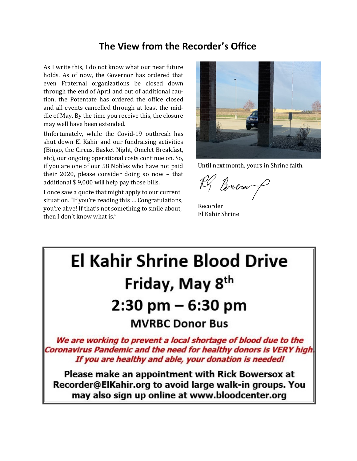### **The View from the Recorder's Office**

As I write this, I do not know what our near future holds. As of now, the Governor has ordered that even Fraternal organizations be closed down through the end of April and out of additional caution, the Potentate has ordered the office closed and all events cancelled through at least the middle of May. By the time you receive this, the closure may well have been extended.

Unfortunately, while the Covid-19 outbreak has shut down El Kahir and our fundraising activities (Bingo, the Circus, Basket Night, Omelet Breakfast, etc), our ongoing operational costs continue on. So, if you are one of our 58 Nobles who have not paid their 2020, please consider doing so now – that additional \$ 9,000 will help pay those bills.

I once saw a quote that might apply to our current situation. "If you're reading this … Congratulations, you're alive! If that's not something to smile about, then I don't know what is."



Until next month, yours in Shrine faith.

RS Brown

Recorder El Kahir Shrine

# **El Kahir Shrine Blood Drive** Friday, May 8<sup>th</sup> 2:30 pm – 6:30 pm **MVRBC Donor Bus** We are working to prevent a local shortage of blood due to the Coronavirus Pandemic and the need for healthy donors is VERY high. If you are healthy and able, your donation is needed! Please make an appointment with Rick Bowersox at Recorder@ElKahir.org to avoid large walk-in groups. You

may also sign up online at www.bloodcenter.org